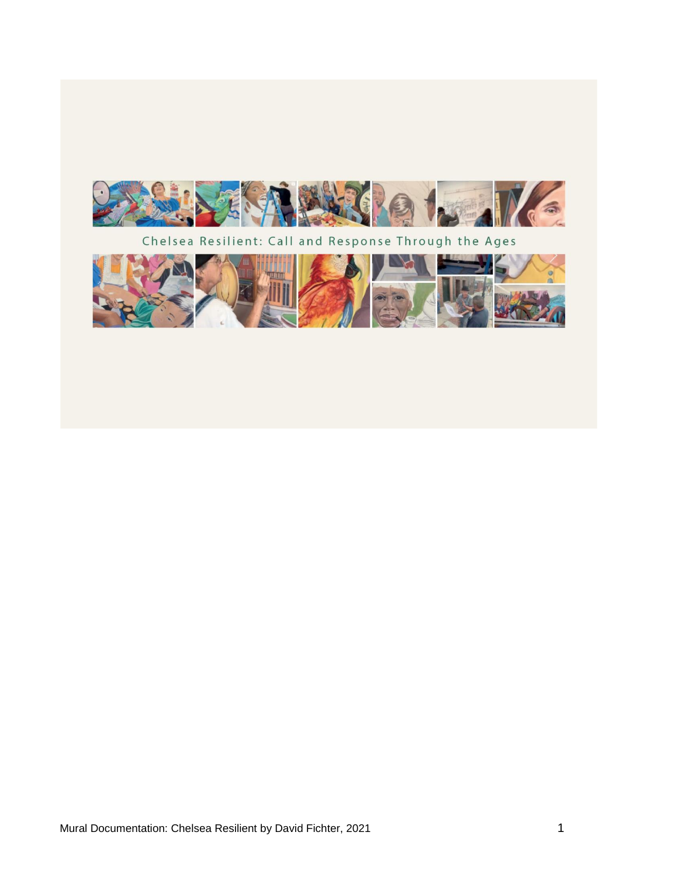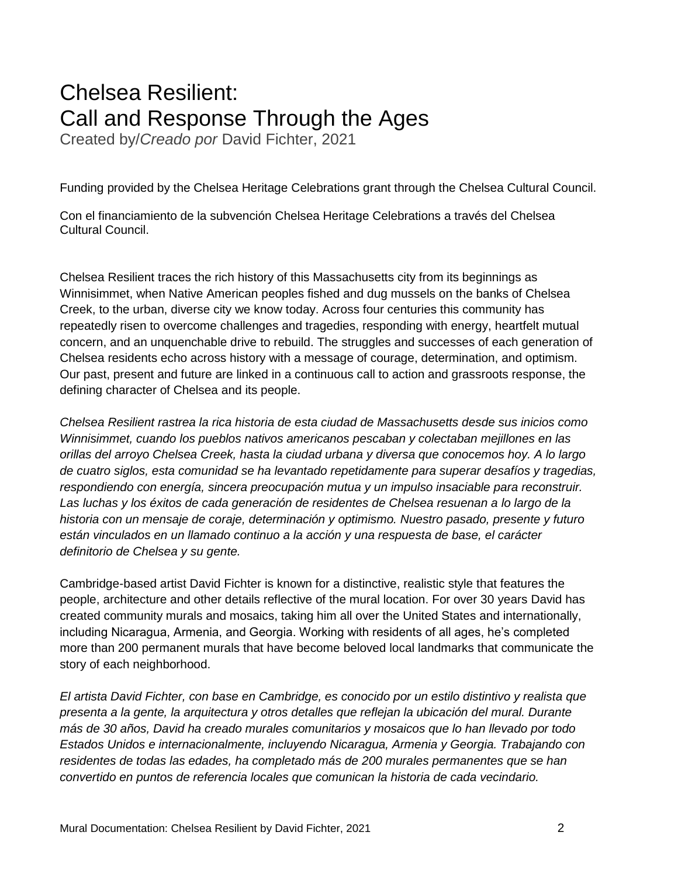# Chelsea Resilient: Call and Response Through the Ages

Created by/*Creado por* David Fichter, 2021

Funding provided by the Chelsea Heritage Celebrations grant through the Chelsea Cultural Council.

Con el financiamiento de la subvención Chelsea Heritage Celebrations a través del Chelsea Cultural Council.

Chelsea Resilient traces the rich history of this Massachusetts city from its beginnings as Winnisimmet, when Native American peoples fished and dug mussels on the banks of Chelsea Creek, to the urban, diverse city we know today. Across four centuries this community has repeatedly risen to overcome challenges and tragedies, responding with energy, heartfelt mutual concern, and an unquenchable drive to rebuild. The struggles and successes of each generation of Chelsea residents echo across history with a message of courage, determination, and optimism. Our past, present and future are linked in a continuous call to action and grassroots response, the defining character of Chelsea and its people.

*Chelsea Resilient rastrea la rica historia de esta ciudad de Massachusetts desde sus inicios como Winnisimmet, cuando los pueblos nativos americanos pescaban y colectaban mejillones en las orillas del arroyo Chelsea Creek, hasta la ciudad urbana y diversa que conocemos hoy. A lo largo de cuatro siglos, esta comunidad se ha levantado repetidamente para superar desafíos y tragedias, respondiendo con energía, sincera preocupación mutua y un impulso insaciable para reconstruir. Las luchas y los éxitos de cada generación de residentes de Chelsea resuenan a lo largo de la historia con un mensaje de coraje, determinación y optimismo. Nuestro pasado, presente y futuro están vinculados en un llamado continuo a la acción y una respuesta de base, el carácter definitorio de Chelsea y su gente.*

Cambridge-based artist David Fichter is known for a distinctive, realistic style that features the people, architecture and other details reflective of the mural location. For over 30 years David has created community murals and mosaics, taking him all over the United States and internationally, including Nicaragua, Armenia, and Georgia. Working with residents of all ages, he's completed more than 200 permanent murals that have become beloved local landmarks that communicate the story of each neighborhood.

*El artista David Fichter, con base en Cambridge, es conocido por un estilo distintivo y realista que presenta a la gente, la arquitectura y otros detalles que reflejan la ubicación del mural. Durante más de 30 años, David ha creado murales comunitarios y mosaicos que lo han llevado por todo Estados Unidos e internacionalmente, incluyendo Nicaragua, Armenia y Georgia. Trabajando con residentes de todas las edades, ha completado más de 200 murales permanentes que se han convertido en puntos de referencia locales que comunican la historia de cada vecindario.*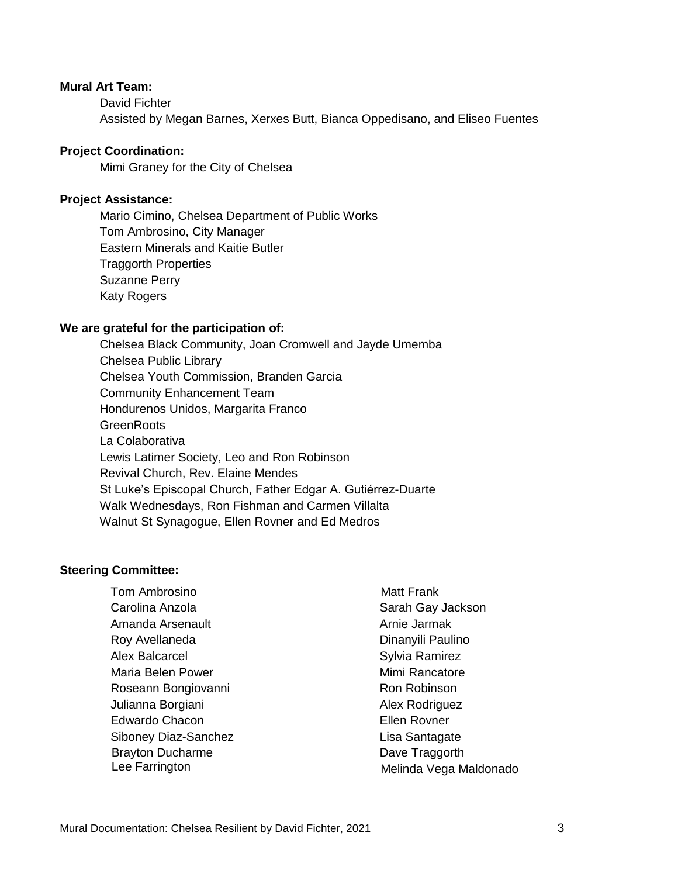#### **Mural Art Team:**

David Fichter Assisted by Megan Barnes, Xerxes Butt, Bianca Oppedisano, and Eliseo Fuentes

#### **Project Coordination:**

Mimi Graney for the City of Chelsea

#### **Project Assistance:**

Mario Cimino, Chelsea Department of Public Works Tom Ambrosino, City Manager Eastern Minerals and Kaitie Butler Traggorth Properties Suzanne Perry Katy Rogers

#### **We are grateful for the participation of:**

Chelsea Black Community, Joan Cromwell and Jayde Umemba Chelsea Public Library Chelsea Youth Commission, Branden Garcia Community Enhancement Team Hondurenos Unidos, Margarita Franco **GreenRoots** La Colaborativa Lewis Latimer Society, Leo and Ron Robinson Revival Church, Rev. Elaine Mendes St Luke's Episcopal Church, Father Edgar A. Gutiérrez-Duarte Walk Wednesdays, Ron Fishman and Carmen Villalta Walnut St Synagogue, Ellen Rovner and Ed Medros

#### **Steering Committee:**

Tom Ambrosino Carolina Anzola Amanda Arsenault Roy Avellaneda Alex Balcarcel Maria Belen Power Roseann Bongiovanni Julianna Borgiani Edwardo Chacon Siboney Diaz-Sanchez Brayton Ducharme Lee Farrington

 Matt Frank Sarah Gay Jackson Arnie Jarmak Dinanyili Paulino Sylvia Ramirez Mimi Rancatore Ron Robinson Alex Rodriguez Ellen Rovner Lisa Santagate Dave Traggorth Melinda Vega Maldonado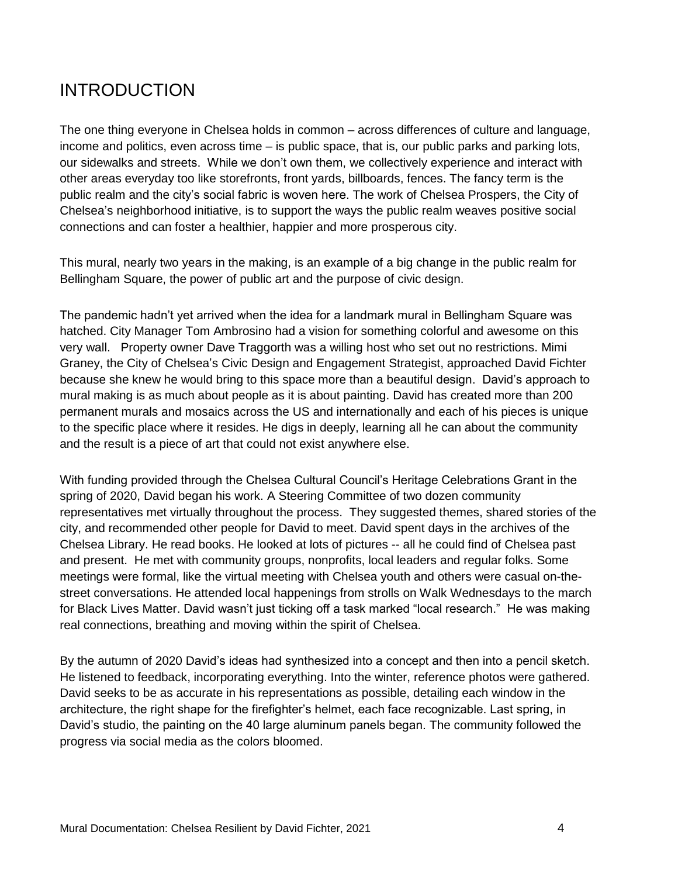## INTRODUCTION

The one thing everyone in Chelsea holds in common – across differences of culture and language, income and politics, even across time – is public space, that is, our public parks and parking lots, our sidewalks and streets. While we don't own them, we collectively experience and interact with other areas everyday too like storefronts, front yards, billboards, fences. The fancy term is the public realm and the city's social fabric is woven here. The work of Chelsea Prospers, the City of Chelsea's neighborhood initiative, is to support the ways the public realm weaves positive social connections and can foster a healthier, happier and more prosperous city.

This mural, nearly two years in the making, is an example of a big change in the public realm for Bellingham Square, the power of public art and the purpose of civic design.

The pandemic hadn't yet arrived when the idea for a landmark mural in Bellingham Square was hatched. City Manager Tom Ambrosino had a vision for something colorful and awesome on this very wall. Property owner Dave Traggorth was a willing host who set out no restrictions. Mimi Graney, the City of Chelsea's Civic Design and Engagement Strategist, approached David Fichter because she knew he would bring to this space more than a beautiful design. David's approach to mural making is as much about people as it is about painting. David has created more than 200 permanent murals and mosaics across the US and internationally and each of his pieces is unique to the specific place where it resides. He digs in deeply, learning all he can about the community and the result is a piece of art that could not exist anywhere else.

With funding provided through the Chelsea Cultural Council's Heritage Celebrations Grant in the spring of 2020, David began his work. A Steering Committee of two dozen community representatives met virtually throughout the process. They suggested themes, shared stories of the city, and recommended other people for David to meet. David spent days in the archives of the Chelsea Library. He read books. He looked at lots of pictures -- all he could find of Chelsea past and present. He met with community groups, nonprofits, local leaders and regular folks. Some meetings were formal, like the virtual meeting with Chelsea youth and others were casual on-thestreet conversations. He attended local happenings from strolls on Walk Wednesdays to the march for Black Lives Matter. David wasn't just ticking off a task marked "local research." He was making real connections, breathing and moving within the spirit of Chelsea.

By the autumn of 2020 David's ideas had synthesized into a concept and then into a pencil sketch. He listened to feedback, incorporating everything. Into the winter, reference photos were gathered. David seeks to be as accurate in his representations as possible, detailing each window in the architecture, the right shape for the firefighter's helmet, each face recognizable. Last spring, in David's studio, the painting on the 40 large aluminum panels began. The community followed the progress via social media as the colors bloomed.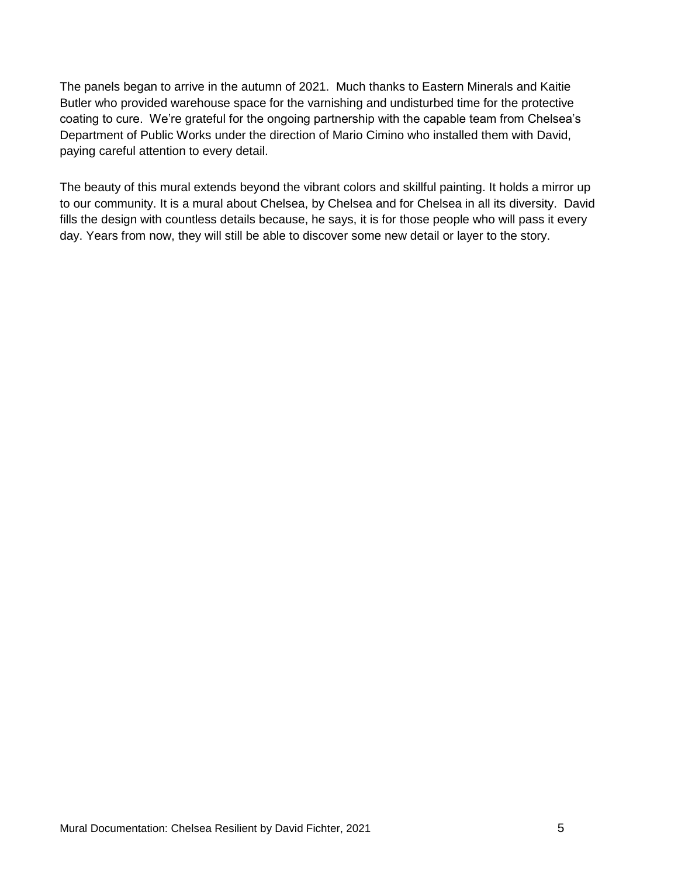The panels began to arrive in the autumn of 2021. Much thanks to Eastern Minerals and Kaitie Butler who provided warehouse space for the varnishing and undisturbed time for the protective coating to cure. We're grateful for the ongoing partnership with the capable team from Chelsea's Department of Public Works under the direction of Mario Cimino who installed them with David, paying careful attention to every detail.

The beauty of this mural extends beyond the vibrant colors and skillful painting. It holds a mirror up to our community. It is a mural about Chelsea, by Chelsea and for Chelsea in all its diversity. David fills the design with countless details because, he says, it is for those people who will pass it every day. Years from now, they will still be able to discover some new detail or layer to the story.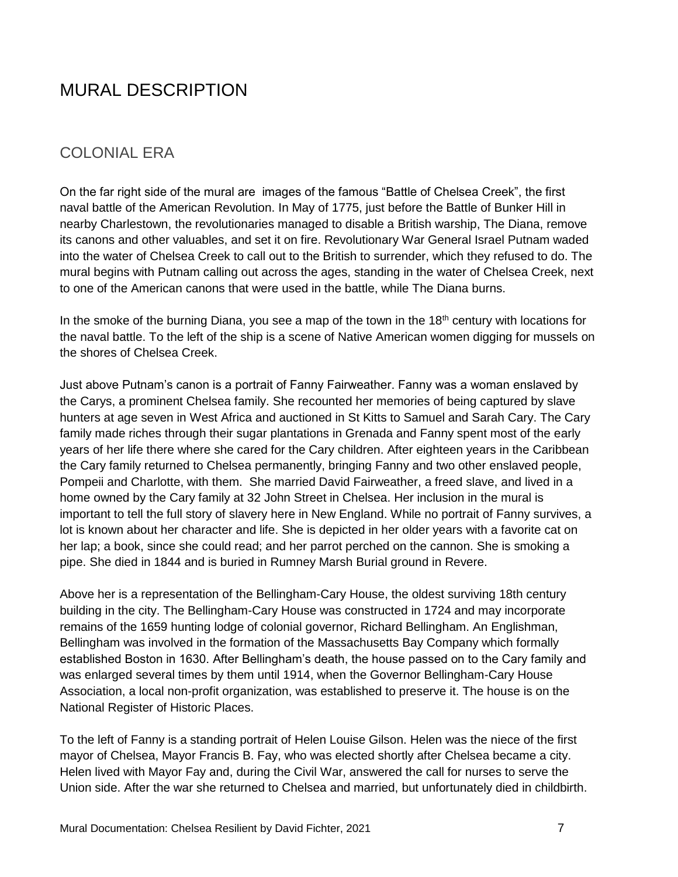## MURAL DESCRIPTION

### COLONIAL ERA

On the far right side of the mural are images of the famous "Battle of Chelsea Creek", the first naval battle of the American Revolution. In May of 1775, just before the Battle of Bunker Hill in nearby Charlestown, the revolutionaries managed to disable a British warship, The Diana, remove its canons and other valuables, and set it on fire. Revolutionary War General Israel Putnam waded into the water of Chelsea Creek to call out to the British to surrender, which they refused to do. The mural begins with Putnam calling out across the ages, standing in the water of Chelsea Creek, next to one of the American canons that were used in the battle, while The Diana burns.

In the smoke of the burning Diana, you see a map of the town in the  $18<sup>th</sup>$  century with locations for the naval battle. To the left of the ship is a scene of Native American women digging for mussels on the shores of Chelsea Creek.

Just above Putnam's canon is a portrait of Fanny Fairweather. Fanny was a woman enslaved by the Carys, a prominent Chelsea family. She recounted her memories of being captured by slave hunters at age seven in West Africa and auctioned in St Kitts to Samuel and Sarah Cary. The Cary family made riches through their sugar plantations in Grenada and Fanny spent most of the early years of her life there where she cared for the Cary children. After eighteen years in the Caribbean the Cary family returned to Chelsea permanently, bringing Fanny and two other enslaved people, Pompeii and Charlotte, with them. She married David Fairweather, a freed slave, and lived in a home owned by the Cary family at 32 John Street in Chelsea. Her inclusion in the mural is important to tell the full story of slavery here in New England. While no portrait of Fanny survives, a lot is known about her character and life. She is depicted in her older years with a favorite cat on her lap; a book, since she could read; and her parrot perched on the cannon. She is smoking a pipe. She died in 1844 and is buried in Rumney Marsh Burial ground in Revere.

Above her is a representation of the Bellingham-Cary House, the oldest surviving 18th century building in the city. The Bellingham-Cary House was constructed in 1724 and may incorporate remains of the 1659 hunting lodge of colonial governor, Richard Bellingham. An Englishman, Bellingham was involved in the formation of the Massachusetts Bay Company which formally established Boston in 1630. After Bellingham's death, the house passed on to the Cary family and was enlarged several times by them until 1914, when the Governor Bellingham-Cary House Association, a local non-profit organization, was established to preserve it. The house is on the National Register of Historic Places.

To the left of Fanny is a standing portrait of Helen Louise Gilson. Helen was the niece of the first mayor of Chelsea, Mayor Francis B. Fay, who was elected shortly after Chelsea became a city. Helen lived with Mayor Fay and, during the Civil War, answered the call for nurses to serve the Union side. After the war she returned to Chelsea and married, but unfortunately died in childbirth.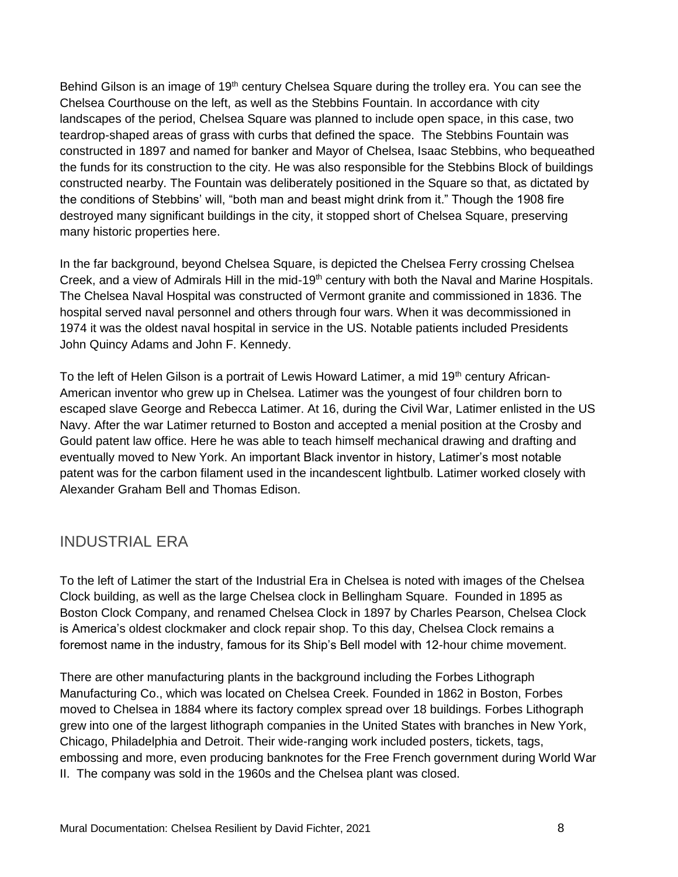Behind Gilson is an image of 19<sup>th</sup> century Chelsea Square during the trolley era. You can see the Chelsea Courthouse on the left, as well as the Stebbins Fountain. In accordance with city landscapes of the period, Chelsea Square was planned to include open space, in this case, two teardrop-shaped areas of grass with curbs that defined the space. The Stebbins Fountain was constructed in 1897 and named for banker and Mayor of Chelsea, Isaac Stebbins, who bequeathed the funds for its construction to the city. He was also responsible for the Stebbins Block of buildings constructed nearby. The Fountain was deliberately positioned in the Square so that, as dictated by the conditions of Stebbins' will, "both man and beast might drink from it." Though the 1908 fire destroyed many significant buildings in the city, it stopped short of Chelsea Square, preserving many historic properties here.

In the far background, beyond Chelsea Square, is depicted the Chelsea Ferry crossing Chelsea Creek, and a view of Admirals Hill in the mid-19<sup>th</sup> century with both the Naval and Marine Hospitals. The Chelsea Naval Hospital was constructed of Vermont granite and commissioned in 1836. The hospital served naval personnel and others through four wars. When it was decommissioned in 1974 it was the oldest naval hospital in service in the US. Notable patients included Presidents John Quincy Adams and John F. Kennedy.

To the left of Helen Gilson is a portrait of Lewis Howard Latimer, a mid  $19<sup>th</sup>$  century African-American inventor who grew up in Chelsea. Latimer was the youngest of four children born to escaped slave George and Rebecca Latimer. At 16, during the Civil War, Latimer enlisted in the US Navy. After the war Latimer returned to Boston and accepted a menial position at the Crosby and Gould patent law office. Here he was able to teach himself mechanical drawing and drafting and eventually moved to New York. An important Black inventor in history, Latimer's most notable patent was for the carbon filament used in the incandescent lightbulb. Latimer worked closely with Alexander Graham Bell and Thomas Edison.

### INDUSTRIAL ERA

To the left of Latimer the start of the Industrial Era in Chelsea is noted with images of the Chelsea Clock building, as well as the large Chelsea clock in Bellingham Square. Founded in 1895 as Boston Clock Company, and renamed Chelsea Clock in 1897 by Charles Pearson, Chelsea Clock is America's oldest clockmaker and clock repair shop. To this day, Chelsea Clock remains a foremost name in the industry, famous for its Ship's Bell model with 12-hour chime movement.

There are other manufacturing plants in the background including the Forbes Lithograph Manufacturing Co., which was located on Chelsea Creek. Founded in 1862 in Boston, Forbes moved to Chelsea in 1884 where its factory complex spread over 18 buildings. Forbes Lithograph grew into one of the largest lithograph companies in the United States with branches in New York, Chicago, Philadelphia and Detroit. Their wide-ranging work included posters, tickets, tags, embossing and more, even producing banknotes for the Free French government during World War II. The company was sold in the 1960s and the Chelsea plant was closed.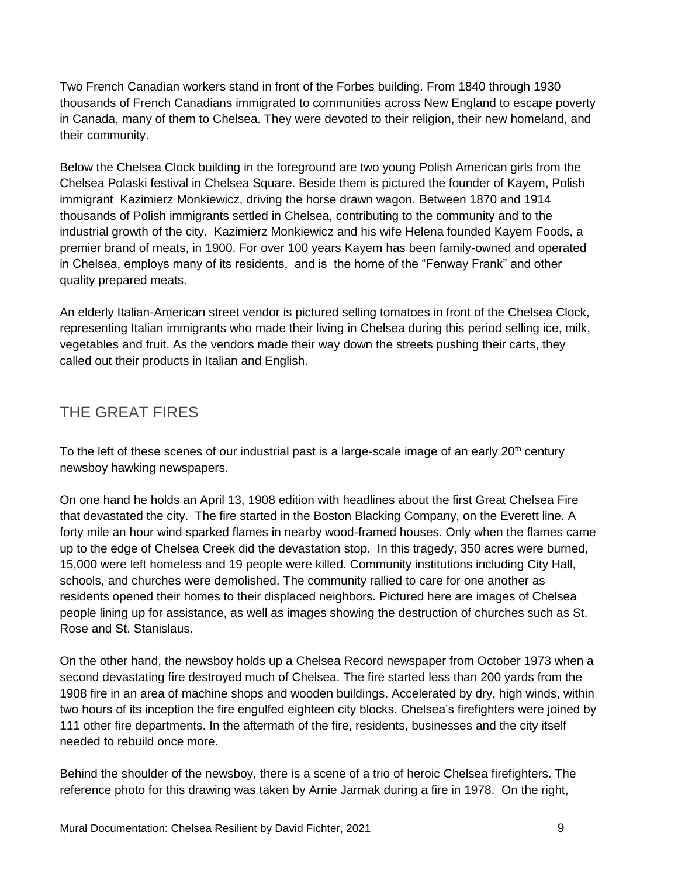Two French Canadian workers stand in front of the Forbes building. From 1840 through 1930 thousands of French Canadians immigrated to communities across New England to escape poverty in Canada, many of them to Chelsea. They were devoted to their religion, their new homeland, and their community.

Below the Chelsea Clock building in the foreground are two young Polish American girls from the Chelsea Polaski festival in Chelsea Square. Beside them is pictured the founder of Kayem, Polish immigrant Kazimierz Monkiewicz, driving the horse drawn wagon. Between 1870 and 1914 thousands of Polish immigrants settled in Chelsea, contributing to the community and to the industrial growth of the city. Kazimierz Monkiewicz and his wife Helena founded Kayem Foods, a premier brand of meats, in 1900. For over 100 years Kayem has been family-owned and operated in Chelsea, employs many of its residents, and is the home of the "Fenway Frank" and other quality prepared meats.

An elderly Italian-American street vendor is pictured selling tomatoes in front of the Chelsea Clock, representing Italian immigrants who made their living in Chelsea during this period selling ice, milk, vegetables and fruit. As the vendors made their way down the streets pushing their carts, they called out their products in Italian and English.

## THE GREAT FIRES

To the left of these scenes of our industrial past is a large-scale image of an early 20<sup>th</sup> century newsboy hawking newspapers.

On one hand he holds an April 13, 1908 edition with headlines about the first Great Chelsea Fire that devastated the city. The fire started in the Boston Blacking Company, on the Everett line. A forty mile an hour wind sparked flames in nearby wood-framed houses. Only when the flames came up to the edge of Chelsea Creek did the devastation stop. In this tragedy, 350 acres were burned, 15,000 were left homeless and 19 people were killed. Community institutions including City Hall, schools, and churches were demolished. The community rallied to care for one another as residents opened their homes to their displaced neighbors. Pictured here are images of Chelsea people lining up for assistance, as well as images showing the destruction of churches such as St. Rose and St. Stanislaus.

On the other hand, the newsboy holds up a Chelsea Record newspaper from October 1973 when a second devastating fire destroyed much of Chelsea. The fire started less than 200 yards from the 1908 fire in an area of machine shops and wooden buildings. Accelerated by dry, high winds, within two hours of its inception the fire engulfed eighteen city blocks. Chelsea's firefighters were joined by 111 other fire departments. In the aftermath of the fire, residents, businesses and the city itself needed to rebuild once more.

Behind the shoulder of the newsboy, there is a scene of a trio of heroic Chelsea firefighters. The reference photo for this drawing was taken by Arnie Jarmak during a fire in 1978. On the right,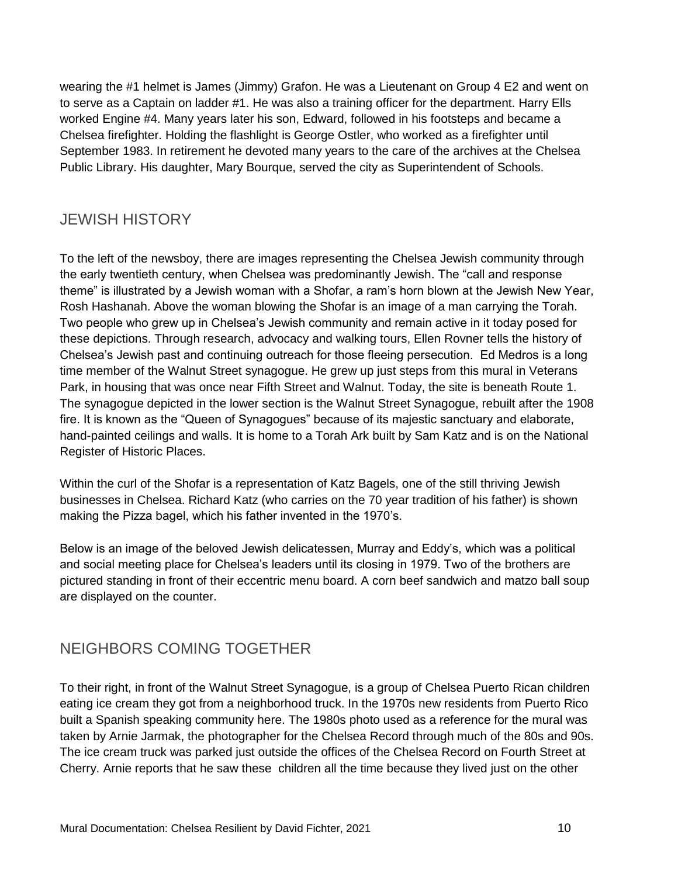wearing the #1 helmet is James (Jimmy) Grafon. He was a Lieutenant on Group 4 E2 and went on to serve as a Captain on ladder #1. He was also a training officer for the department. Harry Ells worked Engine #4. Many years later his son, Edward, followed in his footsteps and became a Chelsea firefighter. Holding the flashlight is George Ostler, who worked as a firefighter until September 1983. In retirement he devoted many years to the care of the archives at the Chelsea Public Library. His daughter, Mary Bourque, served the city as Superintendent of Schools.

### JEWISH HISTORY

To the left of the newsboy, there are images representing the Chelsea Jewish community through the early twentieth century, when Chelsea was predominantly Jewish. The "call and response theme" is illustrated by a Jewish woman with a Shofar, a ram's horn blown at the Jewish New Year, Rosh Hashanah. Above the woman blowing the Shofar is an image of a man carrying the Torah. Two people who grew up in Chelsea's Jewish community and remain active in it today posed for these depictions. Through research, advocacy and walking tours, Ellen Rovner tells the history of Chelsea's Jewish past and continuing outreach for those fleeing persecution. Ed Medros is a long time member of the Walnut Street synagogue. He grew up just steps from this mural in Veterans Park, in housing that was once near Fifth Street and Walnut. Today, the site is beneath Route 1. The synagogue depicted in the lower section is the Walnut Street Synagogue, rebuilt after the 1908 fire. It is known as the "Queen of Synagogues" because of its majestic sanctuary and elaborate, hand-painted ceilings and walls. It is home to a Torah Ark built by Sam Katz and is on the National Register of Historic Places.

Within the curl of the Shofar is a representation of Katz Bagels, one of the still thriving Jewish businesses in Chelsea. Richard Katz (who carries on the 70 year tradition of his father) is shown making the Pizza bagel, which his father invented in the 1970's.

Below is an image of the beloved Jewish delicatessen, Murray and Eddy's, which was a political and social meeting place for Chelsea's leaders until its closing in 1979. Two of the brothers are pictured standing in front of their eccentric menu board. A corn beef sandwich and matzo ball soup are displayed on the counter.

### NEIGHBORS COMING TOGETHER

To their right, in front of the Walnut Street Synagogue, is a group of Chelsea Puerto Rican children eating ice cream they got from a neighborhood truck. In the 1970s new residents from Puerto Rico built a Spanish speaking community here. The 1980s photo used as a reference for the mural was taken by Arnie Jarmak, the photographer for the Chelsea Record through much of the 80s and 90s. The ice cream truck was parked just outside the offices of the Chelsea Record on Fourth Street at Cherry. Arnie reports that he saw these children all the time because they lived just on the other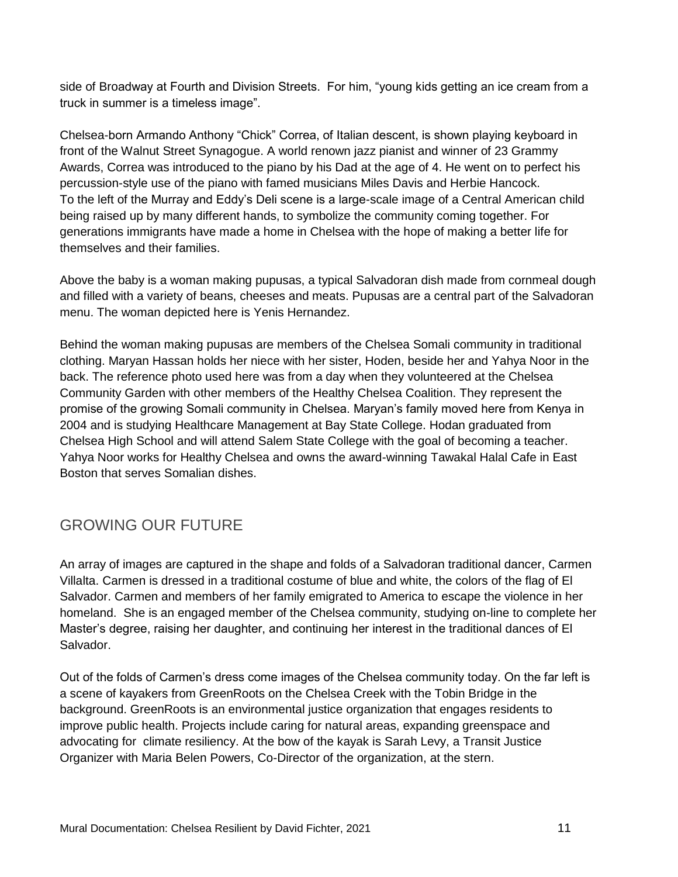side of Broadway at Fourth and Division Streets. For him, "young kids getting an ice cream from a truck in summer is a timeless image".

Chelsea-born Armando Anthony "Chick" Correa, of Italian descent, is shown playing keyboard in front of the Walnut Street Synagogue. A world renown jazz pianist and winner of 23 Grammy Awards, Correa was introduced to the piano by his Dad at the age of 4. He went on to perfect his percussion-style use of the piano with famed musicians Miles Davis and Herbie Hancock. To the left of the Murray and Eddy's Deli scene is a large-scale image of a Central American child being raised up by many different hands, to symbolize the community coming together. For generations immigrants have made a home in Chelsea with the hope of making a better life for themselves and their families.

Above the baby is a woman making pupusas, a typical Salvadoran dish made from cornmeal dough and filled with a variety of beans, cheeses and meats. Pupusas are a central part of the Salvadoran menu. The woman depicted here is Yenis Hernandez.

Behind the woman making pupusas are members of the Chelsea Somali community in traditional clothing. Maryan Hassan holds her niece with her sister, Hoden, beside her and Yahya Noor in the back. The reference photo used here was from a day when they volunteered at the Chelsea Community Garden with other members of the Healthy Chelsea Coalition. They represent the promise of the growing Somali community in Chelsea. Maryan's family moved here from Kenya in 2004 and is studying Healthcare Management at Bay State College. Hodan graduated from Chelsea High School and will attend Salem State College with the goal of becoming a teacher. Yahya Noor works for Healthy Chelsea and owns the award-winning Tawakal Halal Cafe in East Boston that serves Somalian dishes.

### GROWING OUR FUTURE

An array of images are captured in the shape and folds of a Salvadoran traditional dancer, Carmen Villalta. Carmen is dressed in a traditional costume of blue and white, the colors of the flag of El Salvador. Carmen and members of her family emigrated to America to escape the violence in her homeland. She is an engaged member of the Chelsea community, studying on-line to complete her Master's degree, raising her daughter, and continuing her interest in the traditional dances of El Salvador.

Out of the folds of Carmen's dress come images of the Chelsea community today. On the far left is a scene of kayakers from GreenRoots on the Chelsea Creek with the Tobin Bridge in the background. GreenRoots is an environmental justice organization that engages residents to improve public health. Projects include caring for natural areas, expanding greenspace and advocating for climate resiliency. At the bow of the kayak is Sarah Levy, a Transit Justice Organizer with Maria Belen Powers, Co-Director of the organization, at the stern.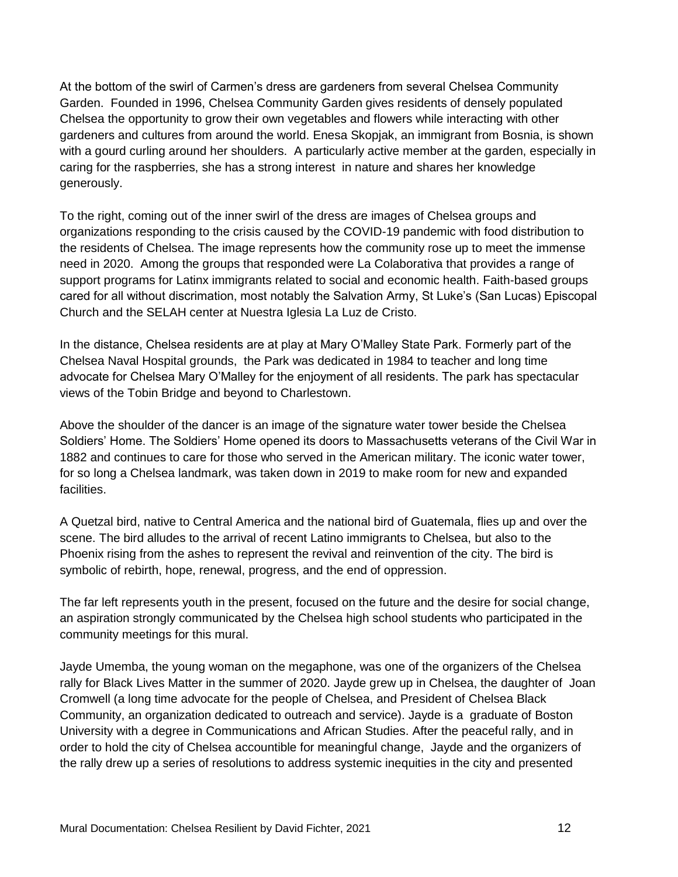At the bottom of the swirl of Carmen's dress are gardeners from several Chelsea Community Garden. Founded in 1996, Chelsea Community Garden gives residents of densely populated Chelsea the opportunity to grow their own vegetables and flowers while interacting with other gardeners and cultures from around the world. Enesa Skopjak, an immigrant from Bosnia, is shown with a gourd curling around her shoulders. A particularly active member at the garden, especially in caring for the raspberries, she has a strong interest in nature and shares her knowledge generously.

To the right, coming out of the inner swirl of the dress are images of Chelsea groups and organizations responding to the crisis caused by the COVID-19 pandemic with food distribution to the residents of Chelsea. The image represents how the community rose up to meet the immense need in 2020. Among the groups that responded were La Colaborativa that provides a range of support programs for Latinx immigrants related to social and economic health. Faith-based groups cared for all without discrimation, most notably the Salvation Army, St Luke's (San Lucas) Episcopal Church and the SELAH center at Nuestra Iglesia La Luz de Cristo.

In the distance, Chelsea residents are at play at Mary O'Malley State Park. Formerly part of the Chelsea Naval Hospital grounds, the Park was dedicated in 1984 to teacher and long time advocate for Chelsea Mary O'Malley for the enjoyment of all residents. The park has spectacular views of the Tobin Bridge and beyond to Charlestown.

Above the shoulder of the dancer is an image of the signature water tower beside the Chelsea Soldiers' Home. The Soldiers' Home opened its doors to Massachusetts veterans of the Civil War in 1882 and continues to care for those who served in the American military. The iconic water tower, for so long a Chelsea landmark, was taken down in 2019 to make room for new and expanded facilities.

A Quetzal bird, native to Central America and the national bird of Guatemala, flies up and over the scene. The bird alludes to the arrival of recent Latino immigrants to Chelsea, but also to the Phoenix rising from the ashes to represent the revival and reinvention of the city. The bird is symbolic of rebirth, hope, renewal, progress, and the end of oppression.

The far left represents youth in the present, focused on the future and the desire for social change, an aspiration strongly communicated by the Chelsea high school students who participated in the community meetings for this mural.

Jayde Umemba, the young woman on the megaphone, was one of the organizers of the Chelsea rally for Black Lives Matter in the summer of 2020. Jayde grew up in Chelsea, the daughter of Joan Cromwell (a long time advocate for the people of Chelsea, and President of Chelsea Black Community, an organization dedicated to outreach and service). Jayde is a graduate of Boston University with a degree in Communications and African Studies. After the peaceful rally, and in order to hold the city of Chelsea accountible for meaningful change, Jayde and the organizers of the rally drew up a series of resolutions to address systemic inequities in the city and presented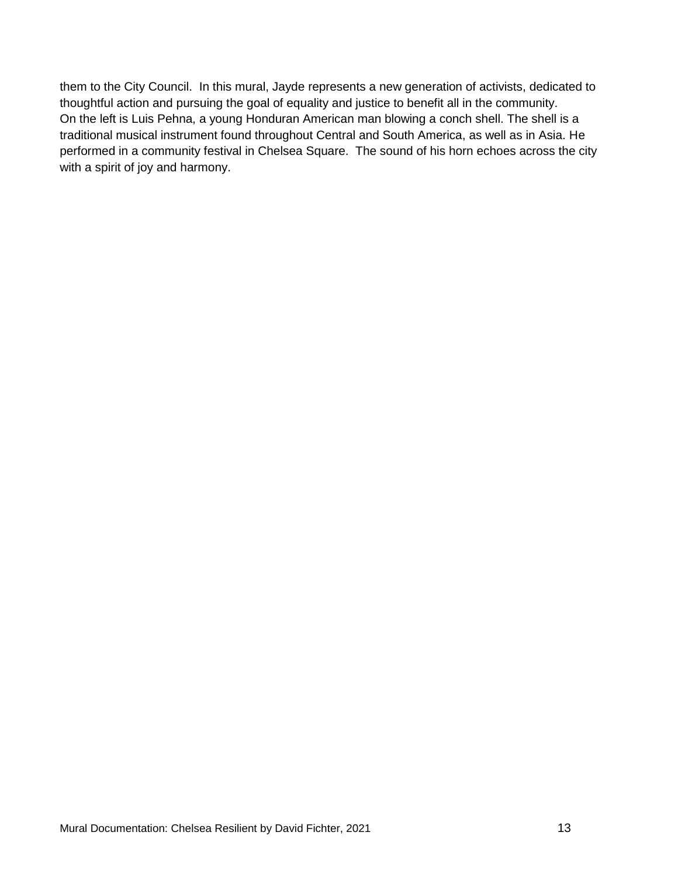them to the City Council. In this mural, Jayde represents a new generation of activists, dedicated to thoughtful action and pursuing the goal of equality and justice to benefit all in the community. On the left is Luis Pehna, a young Honduran American man blowing a conch shell. The shell is a traditional musical instrument found throughout Central and South America, as well as in Asia. He performed in a community festival in Chelsea Square. The sound of his horn echoes across the city with a spirit of joy and harmony.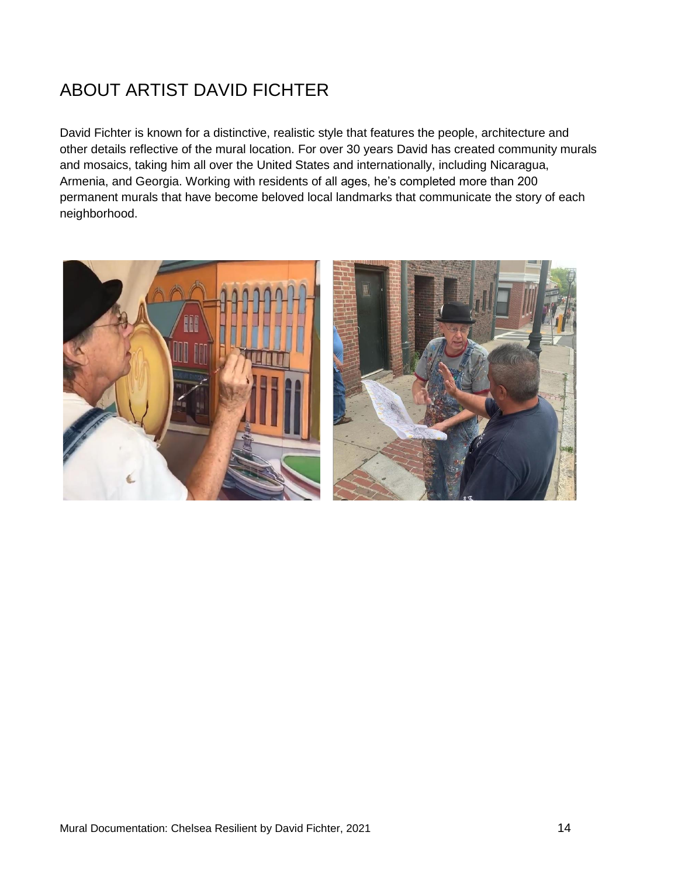## ABOUT ARTIST DAVID FICHTER

David Fichter is known for a distinctive, realistic style that features the people, architecture and other details reflective of the mural location. For over 30 years David has created community murals and mosaics, taking him all over the United States and internationally, including Nicaragua, Armenia, and Georgia. Working with residents of all ages, he's completed more than 200 permanent murals that have become beloved local landmarks that communicate the story of each neighborhood.